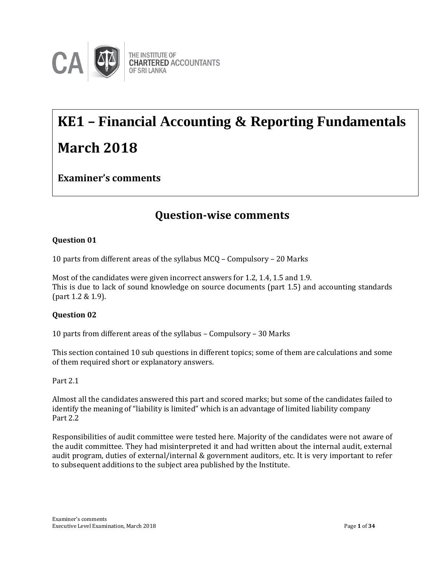

# **KE1 – Financial Accounting & Reporting Fundamentals March 2018**

**Examiner's comments**

# **Question-wise comments**

# **Question 01**

10 parts from different areas of the syllabus MCQ – Compulsory – 20 Marks

Most of the candidates were given incorrect answers for 1.2, 1.4, 1.5 and 1.9. This is due to lack of sound knowledge on source documents (part 1.5) and accounting standards (part 1.2 & 1.9).

# **Question 02**

10 parts from different areas of the syllabus – Compulsory – 30 Marks

This section contained 10 sub questions in different topics; some of them are calculations and some of them required short or explanatory answers.

#### Part 2.1

Almost all the candidates answered this part and scored marks; but some of the candidates failed to identify the meaning of "liability is limited" which is an advantage of limited liability company Part 2.2

Responsibilities of audit committee were tested here. Majority of the candidates were not aware of the audit committee. They had misinterpreted it and had written about the internal audit, external audit program, duties of external/internal & government auditors, etc. It is very important to refer to subsequent additions to the subject area published by the Institute.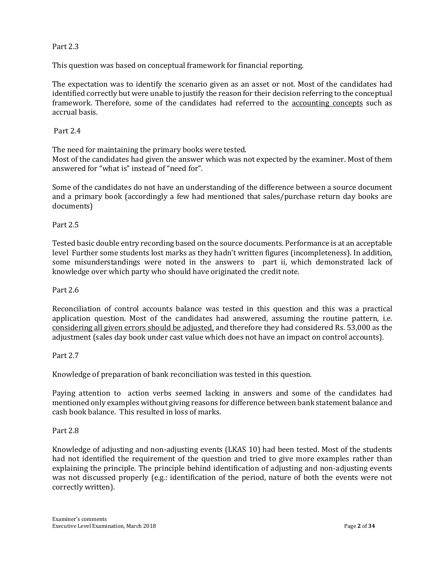#### Part 2.3

This question was based on conceptual framework for financial reporting.

The expectation was to identify the scenario given as an asset or not. Most of the candidates had identified correctly but were unable to justify the reason for their decision referring to the conceptual framework. Therefore, some of the candidates had referred to the accounting concepts such as accrual basis.

## Part 2.4

The need for maintaining the primary books were tested.

Most of the candidates had given the answer which was not expected by the examiner. Most of them answered for "what is" instead of "need for".

Some of the candidates do not have an understanding of the difference between a source document and a primary book (accordingly a few had mentioned that sales/purchase return day books are documents)

## Part 2.5

Tested basic double entry recording based on the source documents. Performance is at an acceptable level Further some students lost marks as they hadn't written figures (incompleteness). In addition, some misunderstandings were noted in the answers to part ii, which demonstrated lack of knowledge over which party who should have originated the credit note.

#### Part 2.6

Reconciliation of control accounts balance was tested in this question and this was a practical application question. Most of the candidates had answered, assuming the routine pattern, i.e. considering all given errors should be adjusted, and therefore they had considered Rs. 53,000 as the adjustment (sales day book under cast value which does not have an impact on control accounts).

#### Part 2.7

Knowledge of preparation of bank reconciliation was tested in this question.

Paying attention to action verbs seemed lacking in answers and some of the candidates had mentioned only examples without giving reasons for difference between bank statement balance and cash book balance. This resulted in loss of marks.

#### Part 2.8

Knowledge of adjusting and non-adjusting events (LKAS 10) had been tested. Most of the students had not identified the requirement of the question and tried to give more examples rather than explaining the principle. The principle behind identification of adjusting and non-adjusting events was not discussed properly (e.g.: identification of the period, nature of both the events were not correctly written).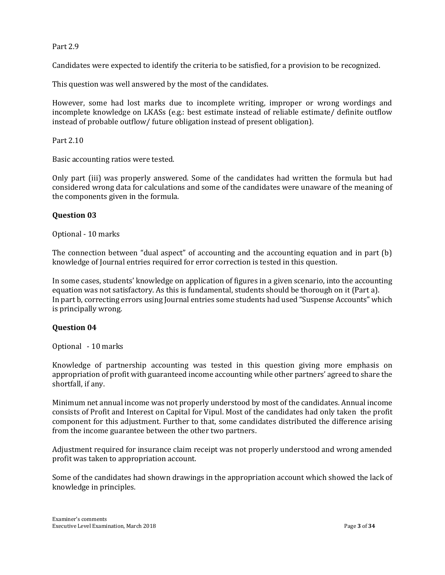#### Part 2.9

Candidates were expected to identify the criteria to be satisfied, for a provision to be recognized.

This question was well answered by the most of the candidates.

However, some had lost marks due to incomplete writing, improper or wrong wordings and incomplete knowledge on LKASs (e.g.: best estimate instead of reliable estimate/ definite outflow instead of probable outflow/ future obligation instead of present obligation).

Part 2.10

Basic accounting ratios were tested.

Only part (iii) was properly answered. Some of the candidates had written the formula but had considered wrong data for calculations and some of the candidates were unaware of the meaning of the components given in the formula.

#### **Question 03**

Optional - 10 marks

The connection between "dual aspect" of accounting and the accounting equation and in part (b) knowledge of Journal entries required for error correction is tested in this question.

In some cases, students' knowledge on application of figures in a given scenario, into the accounting equation was not satisfactory. As this is fundamental, students should be thorough on it (Part a). In part b, correcting errors using Journal entries some students had used "Suspense Accounts" which is principally wrong.

#### **Question 04**

Optional - 10 marks

Knowledge of partnership accounting was tested in this question giving more emphasis on appropriation of profit with guaranteed income accounting while other partners' agreed to share the shortfall, if any.

Minimum net annual income was not properly understood by most of the candidates. Annual income consists of Profit and Interest on Capital for Vipul. Most of the candidates had only taken the profit component for this adjustment. Further to that, some candidates distributed the difference arising from the income guarantee between the other two partners.

Adjustment required for insurance claim receipt was not properly understood and wrong amended profit was taken to appropriation account.

Some of the candidates had shown drawings in the appropriation account which showed the lack of knowledge in principles.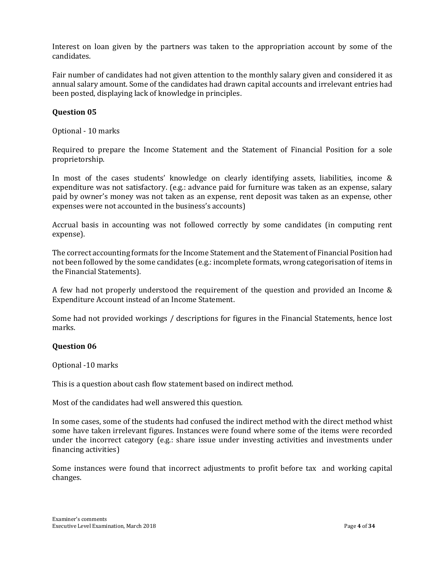Interest on loan given by the partners was taken to the appropriation account by some of the candidates.

Fair number of candidates had not given attention to the monthly salary given and considered it as annual salary amount. Some of the candidates had drawn capital accounts and irrelevant entries had been posted, displaying lack of knowledge in principles.

# **Question 05**

Optional - 10 marks

Required to prepare the Income Statement and the Statement of Financial Position for a sole proprietorship.

In most of the cases students' knowledge on clearly identifying assets, liabilities, income & expenditure was not satisfactory. (e.g.: advance paid for furniture was taken as an expense, salary paid by owner's money was not taken as an expense, rent deposit was taken as an expense, other expenses were not accounted in the business's accounts)

Accrual basis in accounting was not followed correctly by some candidates (in computing rent expense).

The correct accounting formats for the Income Statement and the Statement of Financial Position had not been followed by the some candidates (e.g.: incomplete formats, wrong categorisation of items in the Financial Statements).

A few had not properly understood the requirement of the question and provided an Income & Expenditure Account instead of an Income Statement.

Some had not provided workings / descriptions for figures in the Financial Statements, hence lost marks.

#### **Question 06**

Optional -10 marks

This is a question about cash flow statement based on indirect method.

Most of the candidates had well answered this question.

In some cases, some of the students had confused the indirect method with the direct method whist some have taken irrelevant figures. Instances were found where some of the items were recorded under the incorrect category (e.g.: share issue under investing activities and investments under financing activities)

Some instances were found that incorrect adjustments to profit before tax and working capital changes.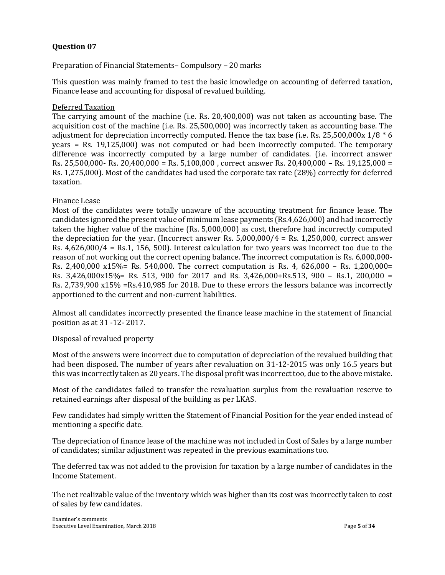Preparation of Financial Statements– Compulsory – 20 marks

This question was mainly framed to test the basic knowledge on accounting of deferred taxation, Finance lease and accounting for disposal of revalued building.

#### Deferred Taxation

The carrying amount of the machine (i.e. Rs. 20,400,000) was not taken as accounting base. The acquisition cost of the machine (i.e. Rs. 25,500,000) was incorrectly taken as accounting base. The adjustment for depreciation incorrectly computed. Hence the tax base (i.e. Rs. 25,500,000x  $1/8 * 6$ ) years = Rs. 19,125,000) was not computed or had been incorrectly computed. The temporary difference was incorrectly computed by a large number of candidates. (i.e. incorrect answer Rs. 25,500,000- Rs. 20,400,000 = Rs. 5,100,000 , correct answer Rs. 20,400,000 – Rs. 19,125,000 = Rs. 1,275,000). Most of the candidates had used the corporate tax rate (28%) correctly for deferred taxation.

#### Finance Lease

Most of the candidates were totally unaware of the accounting treatment for finance lease. The candidates ignored the present value of minimum lease payments (Rs.4,626,000) and had incorrectly taken the higher value of the machine (Rs. 5,000,000) as cost, therefore had incorrectly computed the depreciation for the year. (Incorrect answer Rs.  $5,000,000/4$  = Rs. 1,250,000, correct answer Rs. 4,626,000/4 = Rs.1, 156, 500). Interest calculation for two years was incorrect too due to the reason of not working out the correct opening balance. The incorrect computation is Rs. 6,000,000- Rs. 2,400,000 x15%= Rs. 540,000. The correct computation is Rs. 4, 626,000 – Rs. 1,200,000= Rs. 3,426,000x15%= Rs. 513, 900 for 2017 and Rs. 3,426,000+Rs.513, 900 – Rs.1, 200,000 = Rs. 2,739,900 x15% =Rs.410,985 for 2018. Due to these errors the lessors balance was incorrectly apportioned to the current and non-current liabilities.

Almost all candidates incorrectly presented the finance lease machine in the statement of financial position as at 31 -12- 2017.

Disposal of revalued property

Most of the answers were incorrect due to computation of depreciation of the revalued building that had been disposed. The number of years after revaluation on 31-12-2015 was only 16.5 years but this was incorrectly taken as 20 years. The disposal profit was incorrect too, due to the above mistake.

Most of the candidates failed to transfer the revaluation surplus from the revaluation reserve to retained earnings after disposal of the building as per LKAS.

Few candidates had simply written the Statement of Financial Position for the year ended instead of mentioning a specific date.

The depreciation of finance lease of the machine was not included in Cost of Sales by a large number of candidates; similar adjustment was repeated in the previous examinations too.

The deferred tax was not added to the provision for taxation by a large number of candidates in the Income Statement.

The net realizable value of the inventory which was higher than its cost was incorrectly taken to cost of sales by few candidates.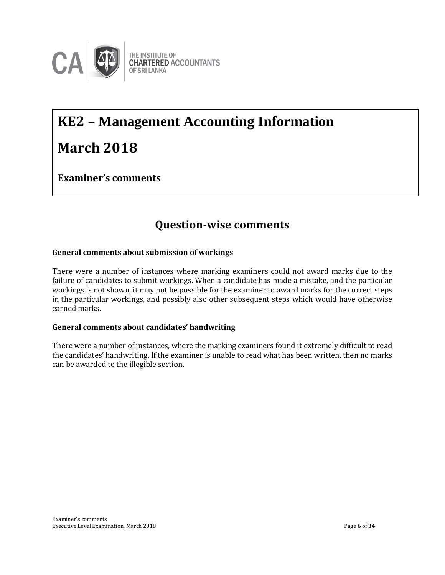

# **KE2 – Management Accounting Information March 2018**

**Examiner's comments**

# **Question-wise comments**

# **General comments about submission of workings**

There were a number of instances where marking examiners could not award marks due to the failure of candidates to submit workings. When a candidate has made a mistake, and the particular workings is not shown, it may not be possible for the examiner to award marks for the correct steps in the particular workings, and possibly also other subsequent steps which would have otherwise earned marks.

# **General comments about candidates' handwriting**

There were a number of instances, where the marking examiners found it extremely difficult to read the candidates' handwriting. If the examiner is unable to read what has been written, then no marks can be awarded to the illegible section.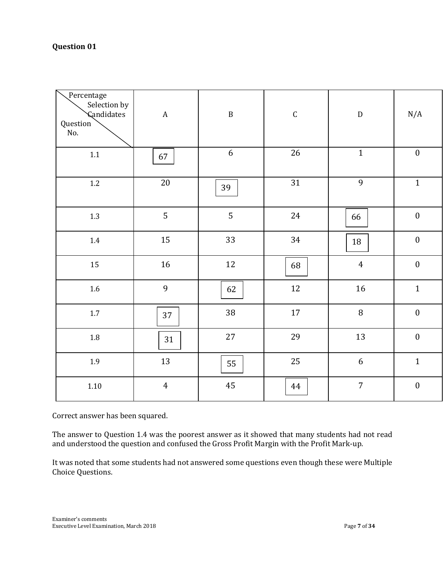| Percentage<br>Selection by<br><b>Candidates</b><br>Question<br>No. | $\boldsymbol{A}$ | $\, {\bf B}$     | $\mathsf C$ | ${\bf D}$      | N/A              |
|--------------------------------------------------------------------|------------------|------------------|-------------|----------------|------------------|
| $1.1\,$                                                            | 67               | $\boldsymbol{6}$ | 26          | $\mathbf{1}$   | $\boldsymbol{0}$ |
| $1.2\,$                                                            | $20\,$           | 39               | 31          | 9              | $\mathbf 1$      |
| 1.3                                                                | 5                | 5                | 24          | 66             | $\boldsymbol{0}$ |
| 1.4                                                                | 15               | 33               | 34          | 18             | $\boldsymbol{0}$ |
| 15                                                                 | 16               | $12\,$           | 68          | $\overline{4}$ | $\boldsymbol{0}$ |
| $1.6\,$                                                            | 9                | 62               | 12          | $16\,$         | $\mathbf{1}$     |
| $1.7\,$                                                            | 37               | 38               | $17\,$      | $\, 8$         | $\boldsymbol{0}$ |
| $1.8\,$                                                            | 31               | $27\,$           | 29          | 13             | $\boldsymbol{0}$ |
| 1.9                                                                | 13               | 55               | 25          | $6\,$          | $\mathbf{1}$     |
| $1.10\,$                                                           | $\overline{4}$   | 45               | 44          | $\overline{7}$ | $\boldsymbol{0}$ |

Correct answer has been squared.

The answer to Question 1.4 was the poorest answer as it showed that many students had not read and understood the question and confused the Gross Profit Margin with the Profit Mark-up.

It was noted that some students had not answered some questions even though these were Multiple Choice Questions.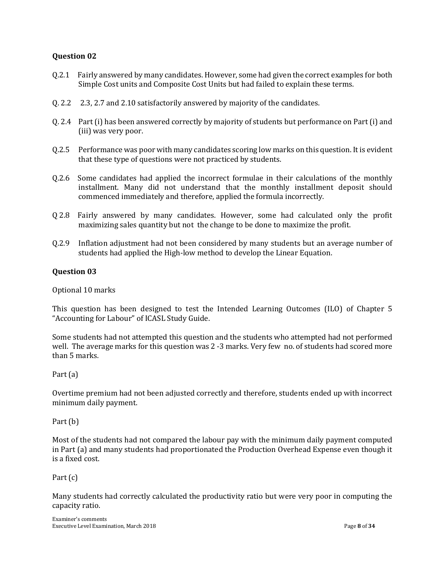- Q.2.1 Fairly answered by many candidates. However, some had given the correct examples for both Simple Cost units and Composite Cost Units but had failed to explain these terms.
- Q. 2.2 2.3, 2.7 and 2.10 satisfactorily answered by majority of the candidates.
- Q. 2.4 Part (i) has been answered correctly by majority of students but performance on Part (i) and (iii) was very poor.
- Q.2.5 Performance was poor with many candidates scoring low marks on this question. It is evident that these type of questions were not practiced by students.
- Q.2.6 Some candidates had applied the incorrect formulae in their calculations of the monthly installment. Many did not understand that the monthly installment deposit should commenced immediately and therefore, applied the formula incorrectly.
- Q 2.8 Fairly answered by many candidates. However, some had calculated only the profit maximizing sales quantity but not the change to be done to maximize the profit.
- Q.2.9 Inflation adjustment had not been considered by many students but an average number of students had applied the High-low method to develop the Linear Equation.

## **Question 03**

Optional 10 marks

This question has been designed to test the Intended Learning Outcomes (ILO) of Chapter 5 "Accounting for Labour" of ICASL Study Guide.

Some students had not attempted this question and the students who attempted had not performed well. The average marks for this question was 2 -3 marks. Very few no. of students had scored more than 5 marks.

#### Part (a)

Overtime premium had not been adjusted correctly and therefore, students ended up with incorrect minimum daily payment.

#### Part (b)

Most of the students had not compared the labour pay with the minimum daily payment computed in Part (a) and many students had proportionated the Production Overhead Expense even though it is a fixed cost.

#### Part (c)

Many students had correctly calculated the productivity ratio but were very poor in computing the capacity ratio.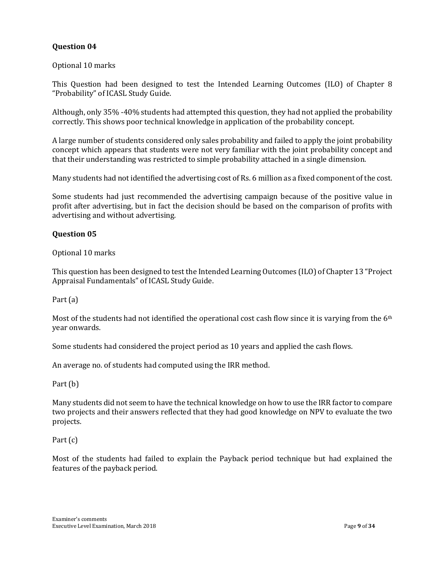Optional 10 marks

This Question had been designed to test the Intended Learning Outcomes (ILO) of Chapter 8 "Probability" of ICASL Study Guide.

Although, only 35% -40% students had attempted this question, they had not applied the probability correctly. This shows poor technical knowledge in application of the probability concept.

A large number of students considered only sales probability and failed to apply the joint probability concept which appears that students were not very familiar with the joint probability concept and that their understanding was restricted to simple probability attached in a single dimension.

Many students had not identified the advertising cost of Rs. 6 million as a fixed component of the cost.

Some students had just recommended the advertising campaign because of the positive value in profit after advertising, but in fact the decision should be based on the comparison of profits with advertising and without advertising.

#### **Question 05**

Optional 10 marks

This question has been designed to test the Intended Learning Outcomes (ILO) of Chapter 13 "Project Appraisal Fundamentals" of ICASL Study Guide.

Part (a)

Most of the students had not identified the operational cost cash flow since it is varying from the 6<sup>th</sup> year onwards.

Some students had considered the project period as 10 years and applied the cash flows.

An average no. of students had computed using the IRR method.

Part (b)

Many students did not seem to have the technical knowledge on how to use the IRR factor to compare two projects and their answers reflected that they had good knowledge on NPV to evaluate the two projects.

Part (c)

Most of the students had failed to explain the Payback period technique but had explained the features of the payback period.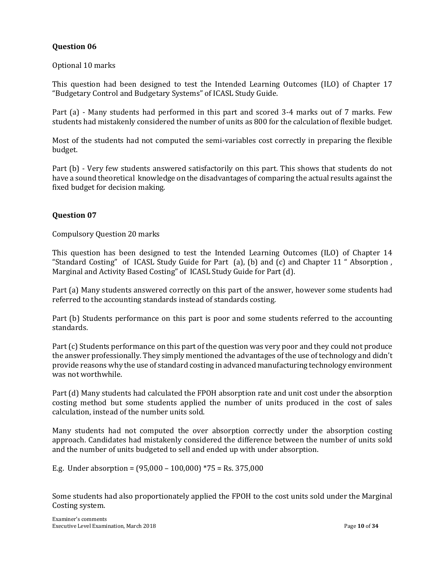## Optional 10 marks

This question had been designed to test the Intended Learning Outcomes (ILO) of Chapter 17 "Budgetary Control and Budgetary Systems" of ICASL Study Guide.

Part (a) - Many students had performed in this part and scored 3-4 marks out of 7 marks. Few students had mistakenly considered the number of units as 800 for the calculation of flexible budget.

Most of the students had not computed the semi-variables cost correctly in preparing the flexible budget.

Part (b) - Very few students answered satisfactorily on this part. This shows that students do not have a sound theoretical knowledge on the disadvantages of comparing the actual results against the fixed budget for decision making.

## **Question 07**

Compulsory Question 20 marks

This question has been designed to test the Intended Learning Outcomes (ILO) of Chapter 14 "Standard Costing" of ICASL Study Guide for Part (a), (b) and (c) and Chapter 11 " Absorption , Marginal and Activity Based Costing" of ICASL Study Guide for Part (d).

Part (a) Many students answered correctly on this part of the answer, however some students had referred to the accounting standards instead of standards costing.

Part (b) Students performance on this part is poor and some students referred to the accounting standards.

Part (c) Students performance on this part of the question was very poor and they could not produce the answer professionally. They simply mentioned the advantages of the use of technology and didn't provide reasons why the use of standard costing in advanced manufacturing technology environment was not worthwhile.

Part (d) Many students had calculated the FPOH absorption rate and unit cost under the absorption costing method but some students applied the number of units produced in the cost of sales calculation, instead of the number units sold.

Many students had not computed the over absorption correctly under the absorption costing approach. Candidates had mistakenly considered the difference between the number of units sold and the number of units budgeted to sell and ended up with under absorption.

E.g. Under absorption = (95,000 – 100,000) \*75 = Rs. 375,000

Some students had also proportionately applied the FPOH to the cost units sold under the Marginal Costing system.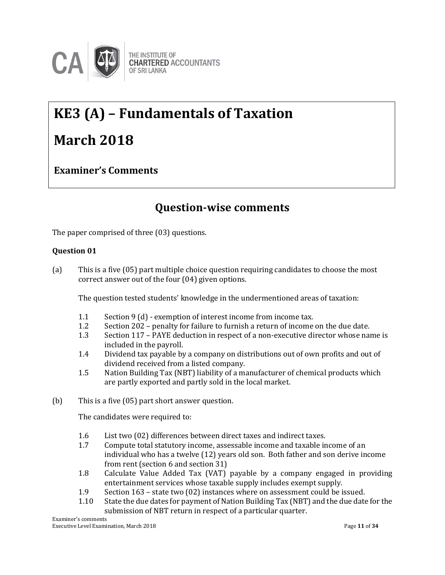

# **KE3 (A) – Fundamentals of Taxation March 2018**

**Examiner's Comments**

# **Question-wise comments**

The paper comprised of three (03) questions.

# **Question 01**

(a) This is a five (05) part multiple choice question requiring candidates to choose the most correct answer out of the four (04) given options.

The question tested students' knowledge in the undermentioned areas of taxation:

- 1.1 Section 9 (d) exemption of interest income from income tax.
- 1.2 Section 202 penalty for failure to furnish a return of income on the due date.
- 1.3 Section 117 PAYE deduction in respect of a non-executive director whose name is included in the payroll.
- 1.4 Dividend tax payable by a company on distributions out of own profits and out of dividend received from a listed company.
- 1.5 Nation Building Tax (NBT) liability of a manufacturer of chemical products which are partly exported and partly sold in the local market.
- (b) This is a five (05) part short answer question.

The candidates were required to:

- 1.6 List two (02) differences between direct taxes and indirect taxes.
- 1.7 Compute total statutory income, assessable income and taxable income of an individual who has a twelve (12) years old son. Both father and son derive income from rent (section 6 and section 31)
- 1.8 Calculate Value Added Tax (VAT) payable by a company engaged in providing entertainment services whose taxable supply includes exempt supply.
- 1.9 Section 163 state two (02) instances where on assessment could be issued.
- 1.10 State the due dates for payment of Nation Building Tax (NBT) and the due date for the submission of NBT return in respect of a particular quarter.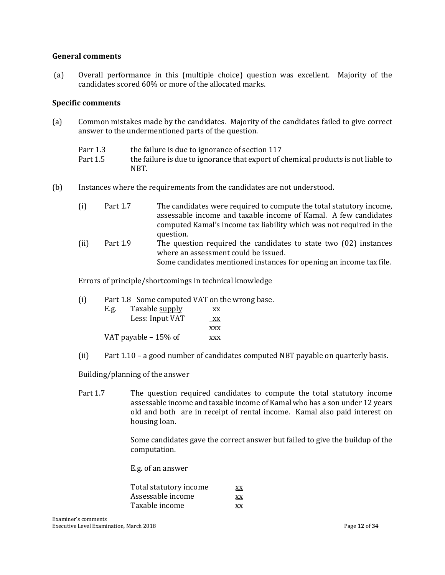#### **General comments**

(a) Overall performance in this (multiple choice) question was excellent. Majority of the candidates scored 60% or more of the allocated marks.

#### **Specific comments**

(a) Common mistakes made by the candidates. Majority of the candidates failed to give correct answer to the undermentioned parts of the question.

| Parr 1.3 | the failure is due to ignorance of section 117                                    |
|----------|-----------------------------------------------------------------------------------|
| Part 1.5 | the failure is due to ignorance that export of chemical products is not liable to |
|          | NBT.                                                                              |

(b) Instances where the requirements from the candidates are not understood.

| (i)  | Part 1.7 | The candidates were required to compute the total statutory income,<br>assessable income and taxable income of Kamal. A few candidates |
|------|----------|----------------------------------------------------------------------------------------------------------------------------------------|
|      |          | computed Kamal's income tax liability which was not required in the                                                                    |
|      |          | question.                                                                                                                              |
| (ii) | Part 1.9 | The question required the candidates to state two (02) instances<br>where an assessment could be issued.                               |
|      |          |                                                                                                                                        |
|      |          | Some candidates mentioned instances for opening an income tax file.                                                                    |

Errors of principle/shortcomings in technical knowledge

(i) Part 1.8 Some computed VAT on the wrong base.

| E.g. | Taxable supply       | XX         |
|------|----------------------|------------|
|      | Less: Input VAT      | XX         |
|      |                      | <b>XXX</b> |
|      | VAT payable - 15% of | <b>XXX</b> |

(ii) Part 1.10 – a good number of candidates computed NBT payable on quarterly basis.

Building/planning of the answer

Part 1.7 The question required candidates to compute the total statutory income assessable income and taxable income of Kamal who has a son under 12 years old and both are in receipt of rental income. Kamal also paid interest on housing loan.

> Some candidates gave the correct answer but failed to give the buildup of the computation.

E.g. of an answer

| Total statutory income | XX  |
|------------------------|-----|
| Assessable income      | XX  |
| Taxable income         | XX. |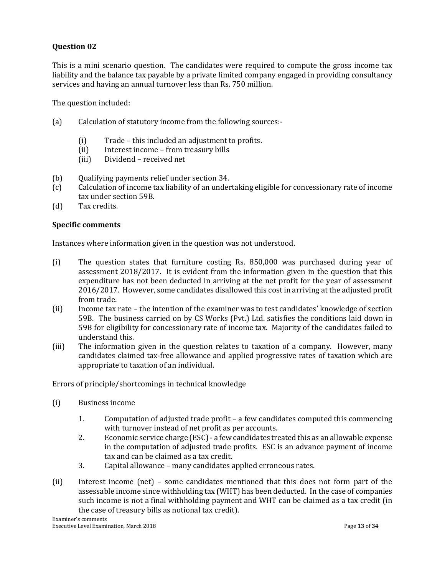This is a mini scenario question. The candidates were required to compute the gross income tax liability and the balance tax payable by a private limited company engaged in providing consultancy services and having an annual turnover less than Rs. 750 million.

The question included:

- (a) Calculation of statutory income from the following sources:-
	- (i) Trade this included an adjustment to profits.
	- (ii) Interest income from treasury bills
	- (iii) Dividend received net
- (b) Qualifying payments relief under section 34.
- (c) Calculation of income tax liability of an undertaking eligible for concessionary rate of income tax under section 59B.
- (d) Tax credits.

#### **Specific comments**

Instances where information given in the question was not understood.

- (i) The question states that furniture costing Rs. 850,000 was purchased during year of assessment 2018/2017. It is evident from the information given in the question that this expenditure has not been deducted in arriving at the net profit for the year of assessment 2016/2017. However, some candidates disallowed this cost in arriving at the adjusted profit from trade.
- (ii) Income tax rate the intention of the examiner was to test candidates' knowledge of section 59B. The business carried on by CS Works (Pvt.) Ltd. satisfies the conditions laid down in 59B for eligibility for concessionary rate of income tax. Majority of the candidates failed to understand this.
- (iii) The information given in the question relates to taxation of a company. However, many candidates claimed tax-free allowance and applied progressive rates of taxation which are appropriate to taxation of an individual.

Errors of principle/shortcomings in technical knowledge

- (i) Business income
	- 1. Computation of adjusted trade profit a few candidates computed this commencing with turnover instead of net profit as per accounts.
	- 2. Economic service charge (ESC) a few candidates treated this as an allowable expense in the computation of adjusted trade profits. ESC is an advance payment of income tax and can be claimed as a tax credit.
	- 3. Capital allowance many candidates applied erroneous rates.
- (ii) Interest income (net) some candidates mentioned that this does not form part of the assessable income since withholding tax (WHT) has been deducted. In the case of companies such income is not a final withholding payment and WHT can be claimed as a tax credit (in the case of treasury bills as notional tax credit).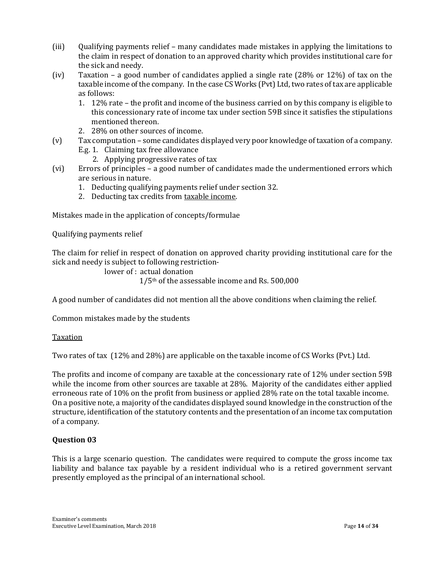- (iii) Qualifying payments relief many candidates made mistakes in applying the limitations to the claim in respect of donation to an approved charity which provides institutional care for the sick and needy.
- (iv) Taxation a good number of candidates applied a single rate (28% or 12%) of tax on the taxable income of the company. In the case CS Works (Pvt) Ltd, two rates of tax are applicable as follows:
	- 1. 12% rate the profit and income of the business carried on by this company is eligible to this concessionary rate of income tax under section 59B since it satisfies the stipulations mentioned thereon.
	- 2. 28% on other sources of income.
- (v) Tax computation some candidates displayed very poor knowledge of taxation of a company.
	- E.g. 1. Claiming tax free allowance
		- 2. Applying progressive rates of tax
- (vi) Errors of principles a good number of candidates made the undermentioned errors which are serious in nature.
	- 1. Deducting qualifying payments relief under section 32.
	- 2. Deducting tax credits from taxable income.

Mistakes made in the application of concepts/formulae

Qualifying payments relief

The claim for relief in respect of donation on approved charity providing institutional care for the sick and needy is subject to following restriction-

lower of : actual donation

1/5th of the assessable income and Rs. 500,000

A good number of candidates did not mention all the above conditions when claiming the relief.

Common mistakes made by the students

Taxation

Two rates of tax (12% and 28%) are applicable on the taxable income of CS Works (Pvt.) Ltd.

The profits and income of company are taxable at the concessionary rate of 12% under section 59B while the income from other sources are taxable at 28%. Majority of the candidates either applied erroneous rate of 10% on the profit from business or applied 28% rate on the total taxable income. On a positive note, a majority of the candidates displayed sound knowledge in the construction of the structure, identification of the statutory contents and the presentation of an income tax computation of a company.

#### **Question 03**

This is a large scenario question. The candidates were required to compute the gross income tax liability and balance tax payable by a resident individual who is a retired government servant presently employed as the principal of an international school.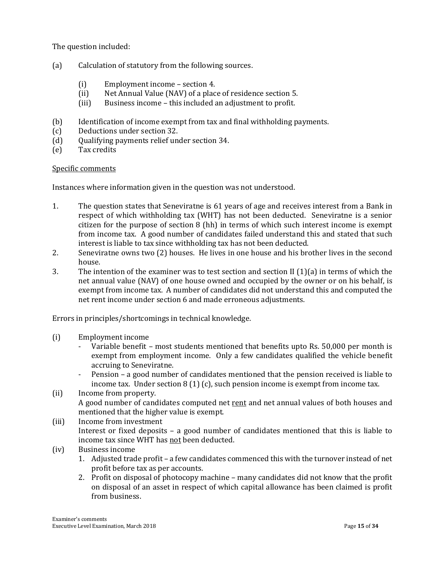The question included:

- (a) Calculation of statutory from the following sources.
	- (i) Employment income section 4.
	- (ii) Net Annual Value (NAV) of a place of residence section 5.
	- (iii) Business income this included an adjustment to profit.
- (b) Identification of income exempt from tax and final withholding payments.
- (c) Deductions under section 32.
- (d) Qualifying payments relief under section 34.
- (e) Tax credits

#### Specific comments

Instances where information given in the question was not understood.

- 1. The question states that Seneviratne is 61 years of age and receives interest from a Bank in respect of which withholding tax (WHT) has not been deducted. Seneviratne is a senior citizen for the purpose of section 8 (hh) in terms of which such interest income is exempt from income tax. A good number of candidates failed understand this and stated that such interest is liable to tax since withholding tax has not been deducted.
- 2. Seneviratne owns two (2) houses. He lives in one house and his brother lives in the second house.
- 3. The intention of the examiner was to test section and section II (1)(a) in terms of which the net annual value (NAV) of one house owned and occupied by the owner or on his behalf, is exempt from income tax. A number of candidates did not understand this and computed the net rent income under section 6 and made erroneous adjustments.

Errors in principles/shortcomings in technical knowledge.

- (i) Employment income
	- Variable benefit most students mentioned that benefits upto Rs. 50,000 per month is exempt from employment income. Only a few candidates qualified the vehicle benefit accruing to Seneviratne.
	- Pension a good number of candidates mentioned that the pension received is liable to income tax. Under section 8 (1) (c), such pension income is exempt from income tax.
- (ii) Income from property. A good number of candidates computed net rent and net annual values of both houses and mentioned that the higher value is exempt.
- (iii) Income from investment Interest or fixed deposits – a good number of candidates mentioned that this is liable to income tax since WHT has not been deducted.
- (iv) Business income
	- 1. Adjusted trade profit a few candidates commenced this with the turnover instead of net profit before tax as per accounts.
	- 2. Profit on disposal of photocopy machine many candidates did not know that the profit on disposal of an asset in respect of which capital allowance has been claimed is profit from business.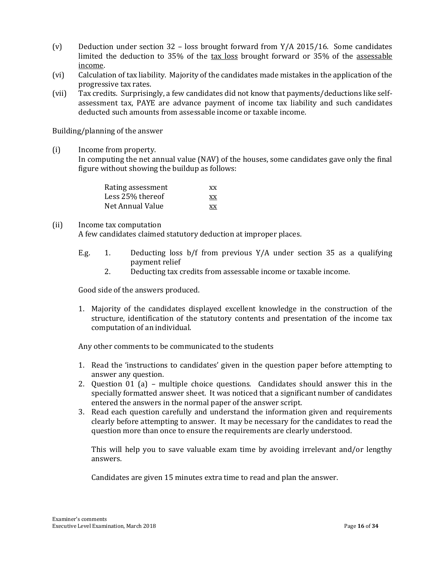- (v) Deduction under section 32 loss brought forward from  $Y/A$  2015/16. Some candidates limited the deduction to 35% of the tax loss brought forward or 35% of the assessable income.
- (vi) Calculation of tax liability. Majority of the candidates made mistakes in the application of the progressive tax rates.
- (vii) Tax credits. Surprisingly, a few candidates did not know that payments/deductions like selfassessment tax, PAYE are advance payment of income tax liability and such candidates deducted such amounts from assessable income or taxable income.

Building/planning of the answer

(i) Income from property.

In computing the net annual value (NAV) of the houses, some candidates gave only the final figure without showing the buildup as follows:

| Rating assessment | XX |
|-------------------|----|
| Less 25% thereof  | XX |
| Net Annual Value  | XX |

#### (ii) Income tax computation

A few candidates claimed statutory deduction at improper places.

- E.g. 1. Deducting loss b/f from previous Y/A under section 35 as a qualifying payment relief
	- 2. Deducting tax credits from assessable income or taxable income.

Good side of the answers produced.

1. Majority of the candidates displayed excellent knowledge in the construction of the structure, identification of the statutory contents and presentation of the income tax computation of an individual.

Any other comments to be communicated to the students

- 1. Read the 'instructions to candidates' given in the question paper before attempting to answer any question.
- 2. Question 01 (a) multiple choice questions. Candidates should answer this in the specially formatted answer sheet. It was noticed that a significant number of candidates entered the answers in the normal paper of the answer script.
- 3. Read each question carefully and understand the information given and requirements clearly before attempting to answer. It may be necessary for the candidates to read the question more than once to ensure the requirements are clearly understood.

This will help you to save valuable exam time by avoiding irrelevant and/or lengthy answers.

Candidates are given 15 minutes extra time to read and plan the answer.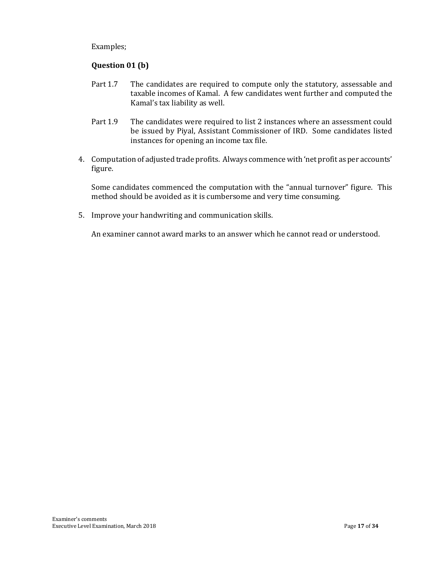Examples;

# **Question 01 (b)**

- Part 1.7 The candidates are required to compute only the statutory, assessable and taxable incomes of Kamal. A few candidates went further and computed the Kamal's tax liability as well.
- Part 1.9 The candidates were required to list 2 instances where an assessment could be issued by Piyal, Assistant Commissioner of IRD. Some candidates listed instances for opening an income tax file.
- 4. Computation of adjusted trade profits. Always commence with 'net profit as per accounts' figure.

Some candidates commenced the computation with the "annual turnover" figure. This method should be avoided as it is cumbersome and very time consuming.

5. Improve your handwriting and communication skills.

An examiner cannot award marks to an answer which he cannot read or understood.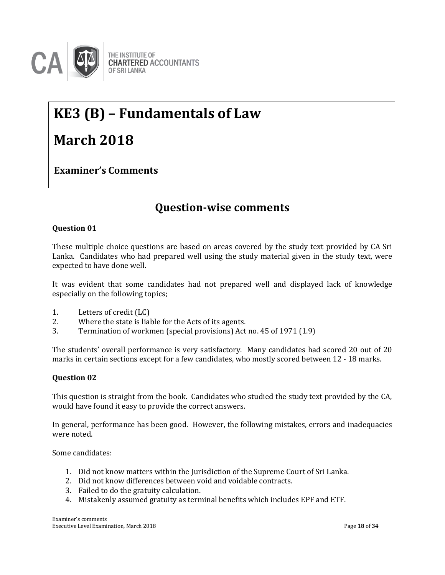

# **KE3 (B) – Fundamentals of Law**

# **March 2018**

**Examiner's Comments**

# **Question-wise comments**

# **Question 01**

These multiple choice questions are based on areas covered by the study text provided by CA Sri Lanka. Candidates who had prepared well using the study material given in the study text, were Lanka. Candidates who had p<br>expected to have done well.

It was evident that some candidates had not prepared well and displayed lack of knowledge especially on the following topics;

- 1. Letters of credit (LC)
- 2. Where the state is liable for the Acts of its agents.
- 3. Termination of workmen (special provisions) Act no. 45 of 1971 (1.9)

The students' overall performance is very satisfactory. Many candidates had scored 20 out of 20 marks in certain sections except for a few candidates, who mostly scored between 12 - 18 marks.

# **Question 02**

This question is straight from the book. Candidates who studied the study text provided by the CA, would have found it easy to provide the correct answers.

In general, performance has been good. However, the following mistakes, errors and inadequacies were noted.

Some candidates:

- 1. Did not know matters within the Jurisdiction of the Supreme Court of Sri Lanka.
- 2. Did not know differences between void and voidable contracts.
- 3. Failed to do the gratuity calculation.
- 4. Mistakenly assumed gratuity as terminal benefits which includes EPF and ETF.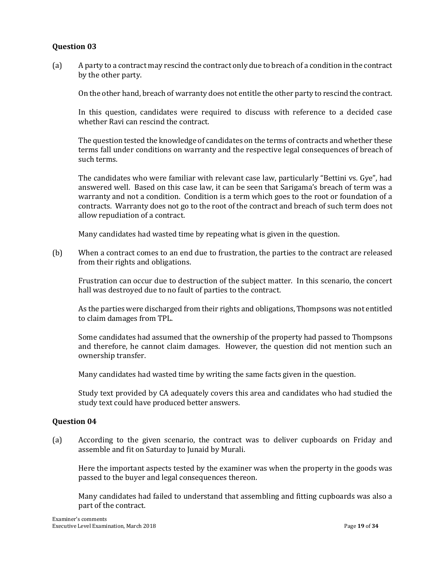(a) A party to a contract may rescind the contract only due to breach of a condition in the contract by the other party.

On the other hand, breach of warranty does not entitle the other party to rescind the contract.

In this question, candidates were required to discuss with reference to a decided case whether Ravi can rescind the contract.

The question tested the knowledge of candidates on the terms of contracts and whether these terms fall under conditions on warranty and the respective legal consequences of breach of such terms.

The candidates who were familiar with relevant case law, particularly "Bettini vs. Gye", had answered well. Based on this case law, it can be seen that Sarigama's breach of term was a warranty and not a condition. Condition is a term which goes to the root or foundation of a contracts. Warranty does not go to the root of the contract and breach of such term does not allow repudiation of a contract.

Many candidates had wasted time by repeating what is given in the question.

(b) When a contract comes to an end due to frustration, the parties to the contract are released from their rights and obligations.

Frustration can occur due to destruction of the subject matter. In this scenario, the concert hall was destroyed due to no fault of parties to the contract.

As the parties were discharged from their rights and obligations, Thompsons was not entitled to claim damages from TPL.

Some candidates had assumed that the ownership of the property had passed to Thompsons and therefore, he cannot claim damages. However, the question did not mention such an ownership transfer.

Many candidates had wasted time by writing the same facts given in the question.

Study text provided by CA adequately covers this area and candidates who had studied the study text could have produced better answers.

#### **Question 04**

(a) According to the given scenario, the contract was to deliver cupboards on Friday and assemble and fit on Saturday to Junaid by Murali.

Here the important aspects tested by the examiner was when the property in the goods was passed to the buyer and legal consequences thereon.

Many candidates had failed to understand that assembling and fitting cupboards was also a part of the contract.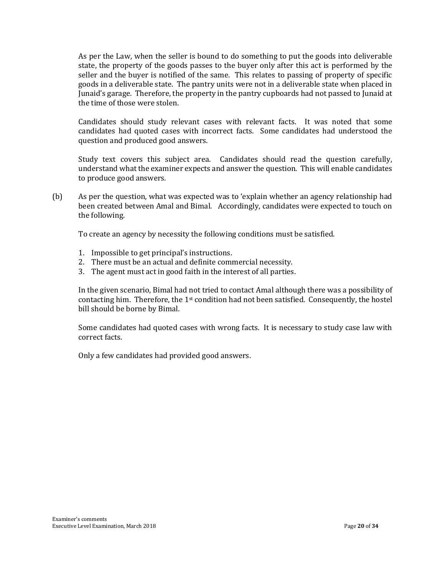As per the Law, when the seller is bound to do something to put the goods into deliverable state, the property of the goods passes to the buyer only after this act is performed by the seller and the buyer is notified of the same. This relates to passing of property of specific goods in a deliverable state. The pantry units were not in a deliverable state when placed in Junaid's garage. Therefore, the property in the pantry cupboards had not passed to Junaid at the time of those were stolen.

Candidates should study relevant cases with relevant facts. It was noted that some candidates had quoted cases with incorrect facts. Some candidates had understood the question and produced good answers.

Study text covers this subject area. Candidates should read the question carefully, understand what the examiner expects and answer the question. This will enable candidates to produce good answers.

(b) As per the question, what was expected was to 'explain whether an agency relationship had been created between Amal and Bimal. Accordingly, candidates were expected to touch on the following.

To create an agency by necessity the following conditions must be satisfied.

- 1. Impossible to get principal's instructions.
- 2. There must be an actual and definite commercial necessity.
- 3. The agent must act in good faith in the interest of all parties.

In the given scenario, Bimal had not tried to contact Amal although there was a possibility of contacting him. Therefore, the 1<sup>st</sup> condition had not been satisfied. Consequently, the hostel bill should be borne by Bimal.

Some candidates had quoted cases with wrong facts. It is necessary to study case law with correct facts.

Only a few candidates had provided good answers.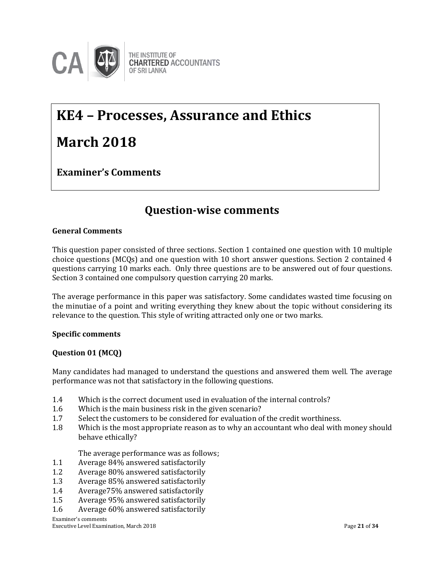

# **KE4 – Processes, Assurance and Ethics March 2018**

**Examiner's Comments**

# **Question-wise comments**

## **General Comments**

This question paper consisted of three sections. Section 1 contained one question with 10 multiple choice questions (MCQs) and one question with 10 short answer questions. Section 2 contained 4 approximately community of  $\epsilon$  and  $\epsilon$  and  $\epsilon$  and  $\epsilon$  and  $\epsilon$  and  $\epsilon$  and  $\epsilon$  and  $\epsilon$  and  $\epsilon$  and  $\epsilon$  and  $\epsilon$  and questions carrying 10 marks each. Only three questions are to be answered out of four questions. Section 3 contained one compulsory question carrying 20 marks.

The average performance in this paper was satisfactory. Some candidates wasted time focusing on the minutiae of a point and writing everything they knew about the topic without considering its relevance to the question. This style of writing attracted only one or two marks.

#### **Specific comments**

#### **Question 01 (MCQ)**

Many candidates had managed to understand the questions and answered them well. The average performance was not that satisfactory in the following questions.

- 1.4 Which is the correct document used in evaluation of the internal controls?
- 1.6 Which is the main business risk in the given scenario?
- 1.7 Select the customers to be considered for evaluation of the credit worthiness.
- 1.8 Which is the most appropriate reason as to why an accountant who deal with money should behave ethically?

The average performance was as follows;

- 1.1 Average 84% answered satisfactorily
- 1.2 Average 80% answered satisfactorily
- 1.3 Average 85% answered satisfactorily
- 1.4 Average75% answered satisfactorily
- 1.5 Average 95% answered satisfactorily
- 1.6 Average 60% answered satisfactorily

Examiner's comments Executive Level Examination, March 2018 **Page 21** of **34** Page 21 of **34**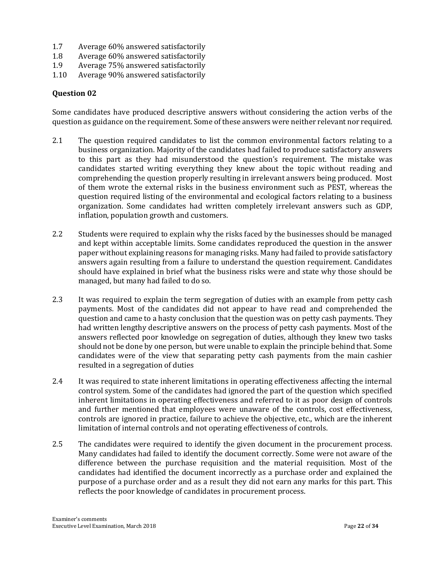- 1.7 Average 60% answered satisfactorily
- 1.8 Average 60% answered satisfactorily
- 1.9 Average 75% answered satisfactorily
- 1.10 Average 90% answered satisfactorily

Some candidates have produced descriptive answers without considering the action verbs of the question as guidance on the requirement. Some of these answers were neither relevant nor required.

- 2.1 The question required candidates to list the common environmental factors relating to a business organization. Majority of the candidates had failed to produce satisfactory answers to this part as they had misunderstood the question's requirement. The mistake was candidates started writing everything they knew about the topic without reading and comprehending the question properly resulting in irrelevant answers being produced. Most of them wrote the external risks in the business environment such as PEST, whereas the question required listing of the environmental and ecological factors relating to a business organization. Some candidates had written completely irrelevant answers such as GDP, inflation, population growth and customers.
- 2.2 Students were required to explain why the risks faced by the businesses should be managed and kept within acceptable limits. Some candidates reproduced the question in the answer paper without explaining reasons for managing risks. Many had failed to provide satisfactory answers again resulting from a failure to understand the question requirement. Candidates should have explained in brief what the business risks were and state why those should be managed, but many had failed to do so.
- 2.3 It was required to explain the term segregation of duties with an example from petty cash payments. Most of the candidates did not appear to have read and comprehended the question and came to a hasty conclusion that the question was on petty cash payments. They had written lengthy descriptive answers on the process of petty cash payments. Most of the answers reflected poor knowledge on segregation of duties, although they knew two tasks should not be done by one person, but were unable to explain the principle behind that. Some candidates were of the view that separating petty cash payments from the main cashier resulted in a segregation of duties
- 2.4 It was required to state inherent limitations in operating effectiveness affecting the internal control system. Some of the candidates had ignored the part of the question which specified inherent limitations in operating effectiveness and referred to it as poor design of controls and further mentioned that employees were unaware of the controls, cost effectiveness, controls are ignored in practice, failure to achieve the objective, etc., which are the inherent limitation of internal controls and not operating effectiveness of controls.
- 2.5 The candidates were required to identify the given document in the procurement process. Many candidates had failed to identify the document correctly. Some were not aware of the difference between the purchase requisition and the material requisition. Most of the candidates had identified the document incorrectly as a purchase order and explained the purpose of a purchase order and as a result they did not earn any marks for this part. This reflects the poor knowledge of candidates in procurement process.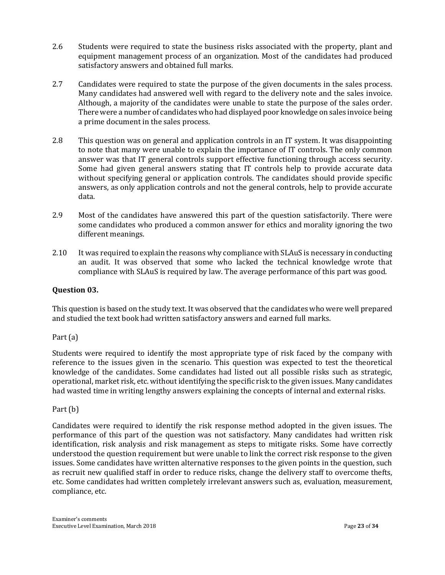- 2.6 Students were required to state the business risks associated with the property, plant and equipment management process of an organization. Most of the candidates had produced satisfactory answers and obtained full marks.
- 2.7 Candidates were required to state the purpose of the given documents in the sales process. Many candidates had answered well with regard to the delivery note and the sales invoice. Although, a majority of the candidates were unable to state the purpose of the sales order. There were a number of candidates who had displayed poor knowledge on sales invoice being a prime document in the sales process.
- 2.8 This question was on general and application controls in an IT system. It was disappointing to note that many were unable to explain the importance of IT controls. The only common answer was that IT general controls support effective functioning through access security. Some had given general answers stating that IT controls help to provide accurate data without specifying general or application controls. The candidates should provide specific answers, as only application controls and not the general controls, help to provide accurate data.
- 2.9 Most of the candidates have answered this part of the question satisfactorily. There were some candidates who produced a common answer for ethics and morality ignoring the two different meanings.
- 2.10 It was required to explain the reasons why compliance with SLAuS is necessary in conducting an audit. It was observed that some who lacked the technical knowledge wrote that compliance with SLAuS is required by law. The average performance of this part was good.

# **Question 03.**

This question is based on the study text. It was observed that the candidates who were well prepared and studied the text book had written satisfactory answers and earned full marks.

# Part (a)

Students were required to identify the most appropriate type of risk faced by the company with reference to the issues given in the scenario. This question was expected to test the theoretical knowledge of the candidates. Some candidates had listed out all possible risks such as strategic, operational, market risk, etc. without identifying the specific risk to the given issues. Many candidates had wasted time in writing lengthy answers explaining the concepts of internal and external risks.

# Part (b)

Candidates were required to identify the risk response method adopted in the given issues. The performance of this part of the question was not satisfactory. Many candidates had written risk identification, risk analysis and risk management as steps to mitigate risks. Some have correctly understood the question requirement but were unable to link the correct risk response to the given issues. Some candidates have written alternative responses to the given points in the question, such as recruit new qualified staff in order to reduce risks, change the delivery staff to overcome thefts, etc. Some candidates had written completely irrelevant answers such as, evaluation, measurement, compliance, etc.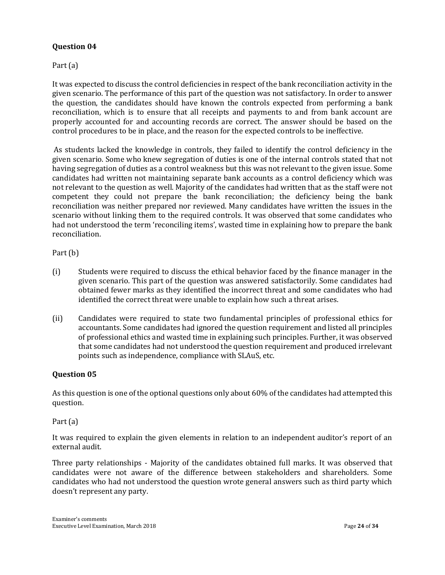Part (a)

It was expected to discuss the control deficiencies in respect of the bank reconciliation activity in the given scenario. The performance of this part of the question was not satisfactory. In order to answer the question, the candidates should have known the controls expected from performing a bank reconciliation, which is to ensure that all receipts and payments to and from bank account are properly accounted for and accounting records are correct. The answer should be based on the control procedures to be in place, and the reason for the expected controls to be ineffective.

As students lacked the knowledge in controls, they failed to identify the control deficiency in the given scenario. Some who knew segregation of duties is one of the internal controls stated that not having segregation of duties as a control weakness but this was not relevant to the given issue. Some candidates had written not maintaining separate bank accounts as a control deficiency which was not relevant to the question as well. Majority of the candidates had written that as the staff were not competent they could not prepare the bank reconciliation; the deficiency being the bank reconciliation was neither prepared nor reviewed. Many candidates have written the issues in the scenario without linking them to the required controls. It was observed that some candidates who had not understood the term 'reconciling items', wasted time in explaining how to prepare the bank reconciliation.

Part (b)

- (i) Students were required to discuss the ethical behavior faced by the finance manager in the given scenario. This part of the question was answered satisfactorily. Some candidates had obtained fewer marks as they identified the incorrect threat and some candidates who had identified the correct threat were unable to explain how such a threat arises.
- (ii) Candidates were required to state two fundamental principles of professional ethics for accountants. Some candidates had ignored the question requirement and listed all principles of professional ethics and wasted time in explaining such principles. Further, it was observed that some candidates had not understood the question requirement and produced irrelevant points such as independence, compliance with SLAuS, etc.

# **Question 05**

As this question is one of the optional questions only about 60% of the candidates had attempted this question.

Part (a)

It was required to explain the given elements in relation to an independent auditor's report of an external audit.

Three party relationships - Majority of the candidates obtained full marks. It was observed that candidates were not aware of the difference between stakeholders and shareholders. Some candidates who had not understood the question wrote general answers such as third party which doesn't represent any party.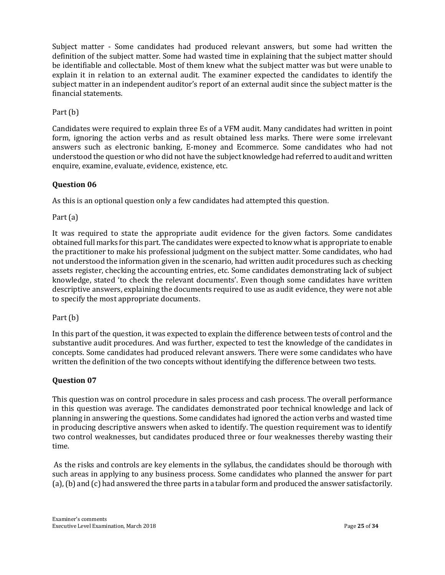Subject matter - Some candidates had produced relevant answers, but some had written the definition of the subject matter. Some had wasted time in explaining that the subject matter should be identifiable and collectable. Most of them knew what the subject matter was but were unable to explain it in relation to an external audit. The examiner expected the candidates to identify the subject matter in an independent auditor's report of an external audit since the subject matter is the financial statements.

Part (b)

Candidates were required to explain three Es of a VFM audit. Many candidates had written in point form, ignoring the action verbs and as result obtained less marks. There were some irrelevant answers such as electronic banking, E-money and Ecommerce. Some candidates who had not understood the question or who did not have the subject knowledge had referred to audit and written enquire, examine, evaluate, evidence, existence, etc.

# **Question 06**

As this is an optional question only a few candidates had attempted this question.

Part (a)

It was required to state the appropriate audit evidence for the given factors. Some candidates obtained full marks for this part. The candidates were expected to know what is appropriate to enable the practitioner to make his professional judgment on the subject matter. Some candidates, who had not understood the information given in the scenario, had written audit procedures such as checking assets register, checking the accounting entries, etc. Some candidates demonstrating lack of subject knowledge, stated 'to check the relevant documents'. Even though some candidates have written descriptive answers, explaining the documents required to use as audit evidence, they were not able to specify the most appropriate documents.

Part (b)

In this part of the question, it was expected to explain the difference between tests of control and the substantive audit procedures. And was further, expected to test the knowledge of the candidates in concepts. Some candidates had produced relevant answers. There were some candidates who have written the definition of the two concepts without identifying the difference between two tests.

# **Question 07**

This question was on control procedure in sales process and cash process. The overall performance in this question was average. The candidates demonstrated poor technical knowledge and lack of planning in answering the questions. Some candidates had ignored the action verbs and wasted time in producing descriptive answers when asked to identify. The question requirement was to identify two control weaknesses, but candidates produced three or four weaknesses thereby wasting their time.

As the risks and controls are key elements in the syllabus, the candidates should be thorough with such areas in applying to any business process. Some candidates who planned the answer for part (a), (b) and (c) had answered the three parts in a tabular form and produced the answer satisfactorily.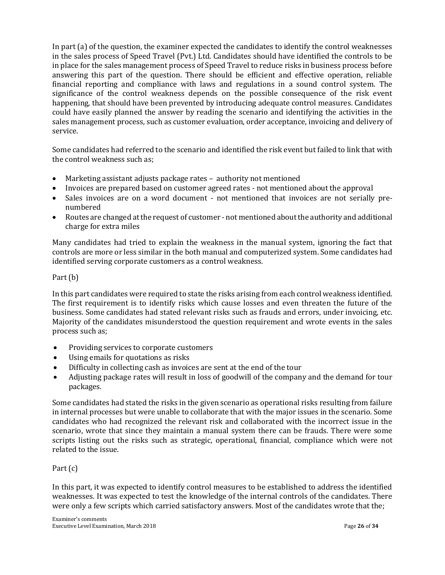In part (a) of the question, the examiner expected the candidates to identify the control weaknesses in the sales process of Speed Travel (Pvt.) Ltd. Candidates should have identified the controls to be in place for the sales management process of Speed Travel to reduce risks in business process before answering this part of the question. There should be efficient and effective operation, reliable financial reporting and compliance with laws and regulations in a sound control system. The significance of the control weakness depends on the possible consequence of the risk event happening, that should have been prevented by introducing adequate control measures. Candidates could have easily planned the answer by reading the scenario and identifying the activities in the sales management process, such as customer evaluation, order acceptance, invoicing and delivery of service.

Some candidates had referred to the scenario and identified the risk event but failed to link that with the control weakness such as;

- Marketing assistant adjusts package rates authority not mentioned
- Invoices are prepared based on customer agreed rates not mentioned about the approval
- Sales invoices are on a word document not mentioned that invoices are not serially prenumbered
- Routes are changed at the request of customer not mentioned about the authority and additional charge for extra miles

Many candidates had tried to explain the weakness in the manual system, ignoring the fact that controls are more or less similar in the both manual and computerized system. Some candidates had identified serving corporate customers as a control weakness.

# Part (b)

In this part candidates were required to state the risks arising from each control weakness identified. The first requirement is to identify risks which cause losses and even threaten the future of the business. Some candidates had stated relevant risks such as frauds and errors, under invoicing, etc. Majority of the candidates misunderstood the question requirement and wrote events in the sales process such as;

- Providing services to corporate customers
- Using emails for quotations as risks
- Difficulty in collecting cash as invoices are sent at the end of the tour
- Adjusting package rates will result in loss of goodwill of the company and the demand for tour packages.

Some candidates had stated the risks in the given scenario as operational risks resulting from failure in internal processes but were unable to collaborate that with the major issues in the scenario. Some candidates who had recognized the relevant risk and collaborated with the incorrect issue in the scenario, wrote that since they maintain a manual system there can be frauds. There were some scripts listing out the risks such as strategic, operational, financial, compliance which were not related to the issue.

# Part (c)

In this part, it was expected to identify control measures to be established to address the identified weaknesses. It was expected to test the knowledge of the internal controls of the candidates. There were only a few scripts which carried satisfactory answers. Most of the candidates wrote that the;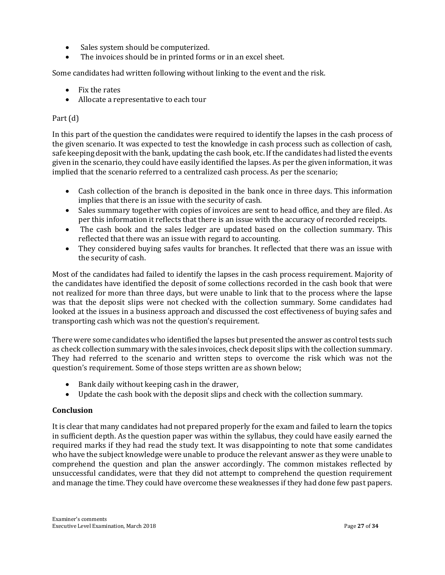- Sales system should be computerized.
- The invoices should be in printed forms or in an excel sheet.

Some candidates had written following without linking to the event and the risk.

- Fix the rates
- Allocate a representative to each tour

# Part (d)

In this part of the question the candidates were required to identify the lapses in the cash process of the given scenario. It was expected to test the knowledge in cash process such as collection of cash, safe keeping deposit with the bank, updating the cash book, etc. If the candidates had listed the events given in the scenario, they could have easily identified the lapses. As per the given information, it was implied that the scenario referred to a centralized cash process. As per the scenario;

- Cash collection of the branch is deposited in the bank once in three days. This information implies that there is an issue with the security of cash.
- Sales summary together with copies of invoices are sent to head office, and they are filed. As per this information it reflects that there is an issue with the accuracy of recorded receipts.
- The cash book and the sales ledger are updated based on the collection summary. This reflected that there was an issue with regard to accounting.
- They considered buying safes vaults for branches. It reflected that there was an issue with the security of cash.

Most of the candidates had failed to identify the lapses in the cash process requirement. Majority of the candidates have identified the deposit of some collections recorded in the cash book that were not realized for more than three days, but were unable to link that to the process where the lapse was that the deposit slips were not checked with the collection summary. Some candidates had looked at the issues in a business approach and discussed the cost effectiveness of buying safes and transporting cash which was not the question's requirement.

There were some candidates who identified the lapses but presented the answer as control tests such as check collection summary with the sales invoices, check deposit slips with the collection summary. They had referred to the scenario and written steps to overcome the risk which was not the question's requirement. Some of those steps written are as shown below;

- Bank daily without keeping cash in the drawer,
- Update the cash book with the deposit slips and check with the collection summary.

# **Conclusion**

It is clear that many candidates had not prepared properly for the exam and failed to learn the topics in sufficient depth. As the question paper was within the syllabus, they could have easily earned the required marks if they had read the study text. It was disappointing to note that some candidates who have the subject knowledge were unable to produce the relevant answer as they were unable to comprehend the question and plan the answer accordingly. The common mistakes reflected by unsuccessful candidates, were that they did not attempt to comprehend the question requirement and manage the time. They could have overcome these weaknesses if they had done few past papers.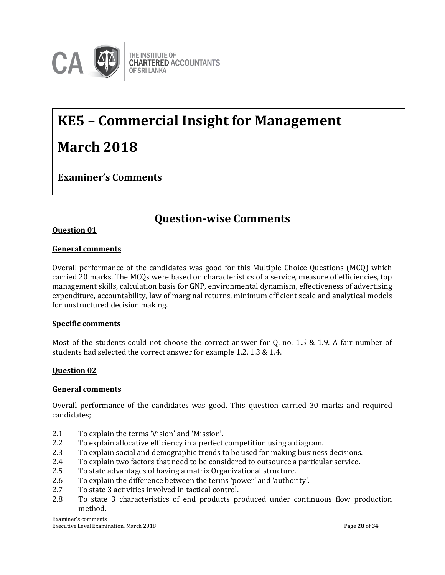

# **KE5 – Commercial Insight for Management March 2018**

**Examiner's Comments**

# **Question-wise Comments**

# **Question 01**

## **General comments**

Overall performance of the candidates was good for this Multiple Choice Questions (MCQ) which carried 20 marks. The MCQs were based on characteristics of a service, measure of efficiencies, top management skills, calculation basis for GNP, environmental dynamism, effectiveness of advertising expenditure, accountability, law of marginal returns, minimum efficient scale and analytical models for unstructured decision making.

#### **Specific comments**

Most of the students could not choose the correct answer for Q. no. 1.5 & 1.9. A fair number of students had selected the correct answer for example 1.2, 1.3 & 1.4.

#### **Question 02**

#### **General comments**

Overall performance of the candidates was good. This question carried 30 marks and required candidates;

- 2.1 To explain the terms 'Vision' and 'Mission'.
- 2.2 To explain allocative efficiency in a perfect competition using a diagram.
- 2.3 To explain social and demographic trends to be used for making business decisions.
- 2.4 To explain two factors that need to be considered to outsource a particular service.
- 2.5 To state advantages of having a matrix Organizational structure.
- 2.6 To explain the difference between the terms 'power' and 'authority'.
- 2.7 To state 3 activities involved in tactical control.
- 2.8 To state 3 characteristics of end products produced under continuous flow production method.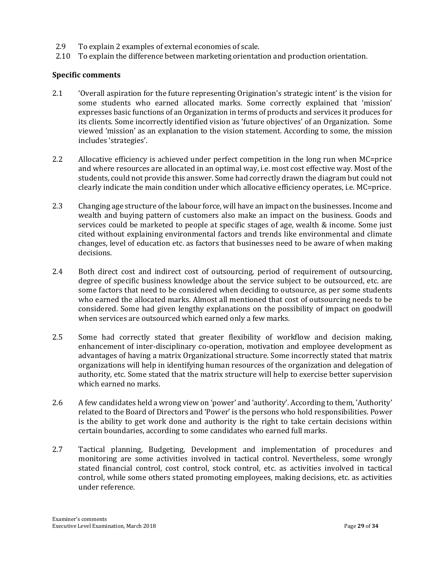- 2.9 To explain 2 examples of external economies of scale.
- 2.10 To explain the difference between marketing orientation and production orientation.

# **Specific comments**

- 2.1 'Overall aspiration for the future representing Origination's strategic intent' is the vision for some students who earned allocated marks. Some correctly explained that 'mission' expresses basic functions of an Organization in terms of products and services it produces for its clients. Some incorrectly identified vision as 'future objectives' of an Organization. Some viewed 'mission' as an explanation to the vision statement. According to some, the mission includes 'strategies'.
- 2.2 Allocative efficiency is achieved under perfect competition in the long run when MC=price and where resources are allocated in an optimal way, i.e. most cost effective way. Most of the students, could not provide this answer. Some had correctly drawn the diagram but could not clearly indicate the main condition under which allocative efficiency operates, i.e. MC=price.
- 2.3 Changing age structure of the labour force, will have an impact on the businesses. Income and wealth and buying pattern of customers also make an impact on the business. Goods and services could be marketed to people at specific stages of age, wealth & income. Some just cited without explaining environmental factors and trends like environmental and climate changes, level of education etc. as factors that businesses need to be aware of when making decisions.
- 2.4 Both direct cost and indirect cost of outsourcing, period of requirement of outsourcing, degree of specific business knowledge about the service subject to be outsourced, etc. are some factors that need to be considered when deciding to outsource, as per some students who earned the allocated marks. Almost all mentioned that cost of outsourcing needs to be considered. Some had given lengthy explanations on the possibility of impact on goodwill when services are outsourced which earned only a few marks.
- 2.5 Some had correctly stated that greater flexibility of workflow and decision making, enhancement of inter-disciplinary co-operation, motivation and employee development as advantages of having a matrix Organizational structure. Some incorrectly stated that matrix organizations will help in identifying human resources of the organization and delegation of authority, etc. Some stated that the matrix structure will help to exercise better supervision which earned no marks.
- 2.6 A few candidates held a wrong view on 'power' and 'authority'. According to them, 'Authority' related to the Board of Directors and 'Power' is the persons who hold responsibilities. Power is the ability to get work done and authority is the right to take certain decisions within certain boundaries, according to some candidates who earned full marks.
- 2.7 Tactical planning, Budgeting, Development and implementation of procedures and monitoring are some activities involved in tactical control. Nevertheless, some wrongly stated financial control, cost control, stock control, etc. as activities involved in tactical control, while some others stated promoting employees, making decisions, etc. as activities under reference.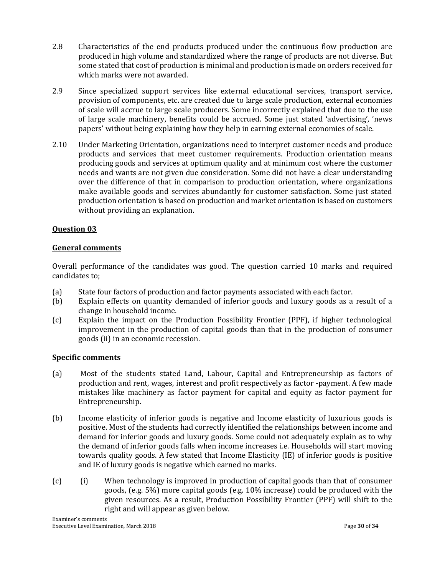- 2.8 Characteristics of the end products produced under the continuous flow production are produced in high volume and standardized where the range of products are not diverse. But some stated that cost of production is minimal and production is made on orders received for which marks were not awarded.
- 2.9 Since specialized support services like external educational services, transport service, provision of components, etc. are created due to large scale production, external economies of scale will accrue to large scale producers. Some incorrectly explained that due to the use of large scale machinery, benefits could be accrued. Some just stated 'advertising', 'news papers' without being explaining how they help in earning external economies of scale.
- 2.10 Under Marketing Orientation, organizations need to interpret customer needs and produce products and services that meet customer requirements. Production orientation means producing goods and services at optimum quality and at minimum cost where the customer needs and wants are not given due consideration. Some did not have a clear understanding over the difference of that in comparison to production orientation, where organizations make available goods and services abundantly for customer satisfaction. Some just stated production orientation is based on production and market orientation is based on customers without providing an explanation.

# **General comments**

Overall performance of the candidates was good. The question carried 10 marks and required candidates to;

- (a) State four factors of production and factor payments associated with each factor.
- (b) Explain effects on quantity demanded of inferior goods and luxury goods as a result of a change in household income.
- (c) Explain the impact on the Production Possibility Frontier (PPF), if higher technological improvement in the production of capital goods than that in the production of consumer goods (ii) in an economic recession.

# **Specific comments**

- (a) Most of the students stated Land, Labour, Capital and Entrepreneurship as factors of production and rent, wages, interest and profit respectively as factor -payment. A few made mistakes like machinery as factor payment for capital and equity as factor payment for Entrepreneurship.
- (b) Income elasticity of inferior goods is negative and Income elasticity of luxurious goods is positive. Most of the students had correctly identified the relationships between income and demand for inferior goods and luxury goods. Some could not adequately explain as to why the demand of inferior goods falls when income increases i.e. Households will start moving towards quality goods. A few stated that Income Elasticity (IE) of inferior goods is positive and IE of luxury goods is negative which earned no marks.
- (c) (i) When technology is improved in production of capital goods than that of consumer goods, (e.g. 5%) more capital goods (e.g. 10% increase) could be produced with the given resources. As a result, Production Possibility Frontier (PPF) will shift to the right and will appear as given below.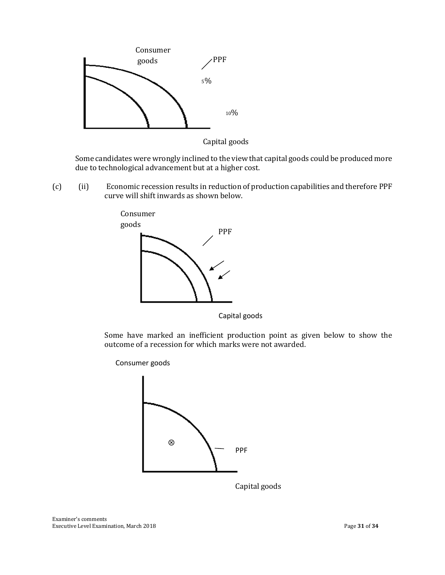



Some candidates were wrongly inclined to the view that capital goods could be produced more due to technological advancement but at a higher cost.

(c) (ii) Economic recession results in reduction of production capabilities and therefore PPF curve will shift inwards as shown below.



Capital goods

Some have marked an inefficient production point as given below to show the outcome of a recession for which marks were not awarded.

Consumer goods



Capital goods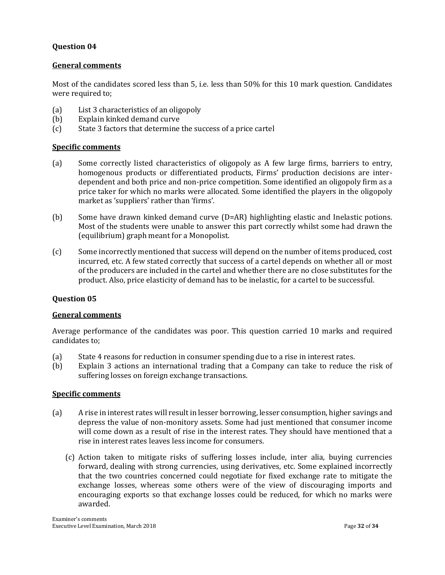#### **General comments**

Most of the candidates scored less than 5, i.e. less than 50% for this 10 mark question. Candidates were required to;

- (a) List 3 characteristics of an oligopoly
- (b) Explain kinked demand curve
- (c) State 3 factors that determine the success of a price cartel

#### **Specific comments**

- (a) Some correctly listed characteristics of oligopoly as A few large firms, barriers to entry, homogenous products or differentiated products, Firms' production decisions are interdependent and both price and non-price competition. Some identified an oligopoly firm as a price taker for which no marks were allocated. Some identified the players in the oligopoly market as 'suppliers' rather than 'firms'.
- (b) Some have drawn kinked demand curve (D=AR) highlighting elastic and Inelastic potions. Most of the students were unable to answer this part correctly whilst some had drawn the (equilibrium) graph meant for a Monopolist.
- (c) Some incorrectly mentioned that success will depend on the number of items produced, cost incurred, etc. A few stated correctly that success of a cartel depends on whether all or most of the producers are included in the cartel and whether there are no close substitutes for the product. Also, price elasticity of demand has to be inelastic, for a cartel to be successful.

#### **Question 05**

#### **General comments**

Average performance of the candidates was poor. This question carried 10 marks and required candidates to;

- (a) State 4 reasons for reduction in consumer spending due to a rise in interest rates.
- (b) Explain 3 actions an international trading that a Company can take to reduce the risk of suffering losses on foreign exchange transactions.

#### **Specific comments**

- (a) A rise in interest rates will result in lesser borrowing, lesser consumption, higher savings and depress the value of non-monitory assets. Some had just mentioned that consumer income will come down as a result of rise in the interest rates. They should have mentioned that a rise in interest rates leaves less income for consumers.
	- (c) Action taken to mitigate risks of suffering losses include, inter alia, buying currencies forward, dealing with strong currencies, using derivatives, etc. Some explained incorrectly that the two countries concerned could negotiate for fixed exchange rate to mitigate the exchange losses, whereas some others were of the view of discouraging imports and encouraging exports so that exchange losses could be reduced, for which no marks were awarded.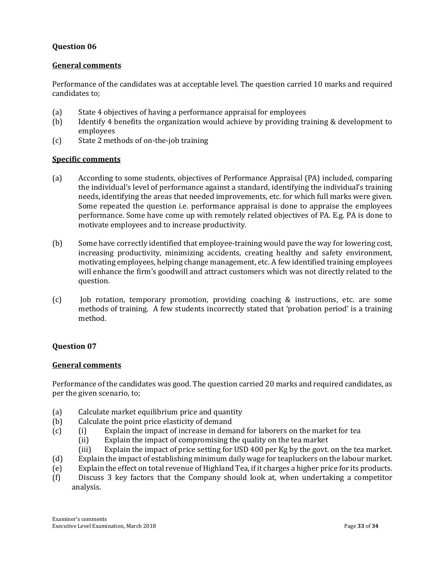#### **General comments**

Performance of the candidates was at acceptable level. The question carried 10 marks and required candidates to;

- (a) State 4 objectives of having a performance appraisal for employees
- (b) Identify 4 benefits the organization would achieve by providing training & development to employees
- (c) State 2 methods of on-the-job training

## **Specific comments**

- (a) According to some students, objectives of Performance Appraisal (PA) included, comparing the individual's level of performance against a standard, identifying the individual's training needs, identifying the areas that needed improvements, etc. for which full marks were given. Some repeated the question i.e. performance appraisal is done to appraise the employees performance. Some have come up with remotely related objectives of PA. E.g. PA is done to motivate employees and to increase productivity.
- (b) Some have correctly identified that employee-training would pave the way for lowering cost, increasing productivity, minimizing accidents, creating healthy and safety environment, motivating employees, helping change management, etc. A few identified training employees will enhance the firm's goodwill and attract customers which was not directly related to the question.
- (c) Job rotation, temporary promotion, providing coaching & instructions, etc. are some methods of training. A few students incorrectly stated that 'probation period' is a training method.

#### **Question 07**

#### **General comments**

Performance of the candidates was good. The question carried 20 marks and required candidates, as per the given scenario, to;

- (a) Calculate market equilibrium price and quantity
- (b) Calculate the point price elasticity of demand
- (c) (i) Explain the impact of increase in demand for laborers on the market for tea
	- (ii) Explain the impact of compromising the quality on the tea market
	- (iii) Explain the impact of price setting for USD 400 per Kg by the govt. on the tea market.
- (d) Explain the impact of establishing minimum daily wage for teapluckers on the labour market.
- (e) Explain the effect on total revenue of Highland Tea, if it charges a higher price for its products.
- (f) Discuss 3 key factors that the Company should look at, when undertaking a competitor analysis.